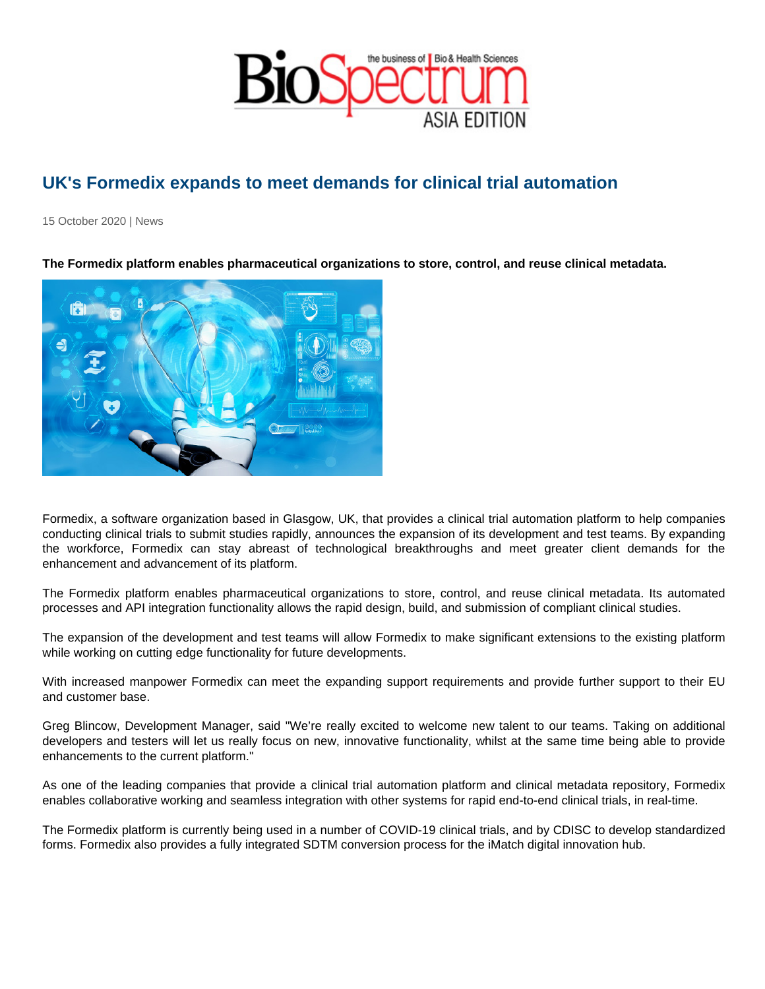## UK's Formedix expands to meet demands for clinical trial automation

15 October 2020 | News

The Formedix platform enables pharmaceutical organizations to store, control, and reuse clinical metadata.

Formedix, a software organization based in Glasgow, UK, that provides a clinical trial automation platform to help companies conducting clinical trials to submit studies rapidly, announces the expansion of its development and test teams. By expanding the workforce, Formedix can stay abreast of technological breakthroughs and meet greater client demands for the enhancement and advancement of its platform.

The Formedix platform enables pharmaceutical organizations to store, control, and reuse clinical metadata. Its automated processes and API integration functionality allows the rapid design, build, and submission of compliant clinical studies.

The expansion of the development and test teams will allow Formedix to make significant extensions to the existing platform while working on cutting edge functionality for future developments.

With increased manpower Formedix can meet the expanding support requirements and provide further support to their EU and customer base.

Greg Blincow, Development Manager, said "We're really excited to welcome new talent to our teams. Taking on additional developers and testers will let us really focus on new, innovative functionality, whilst at the same time being able to provide enhancements to the current platform."

As one of the leading companies that provide a clinical trial automation platform and clinical metadata repository, Formedix enables collaborative working and seamless integration with other systems for rapid end-to-end clinical trials, in real-time.

The Formedix platform is currently being used in a number of COVID-19 clinical trials, and by CDISC to develop standardized forms. Formedix also provides a fully integrated SDTM conversion process for the iMatch digital innovation hub.